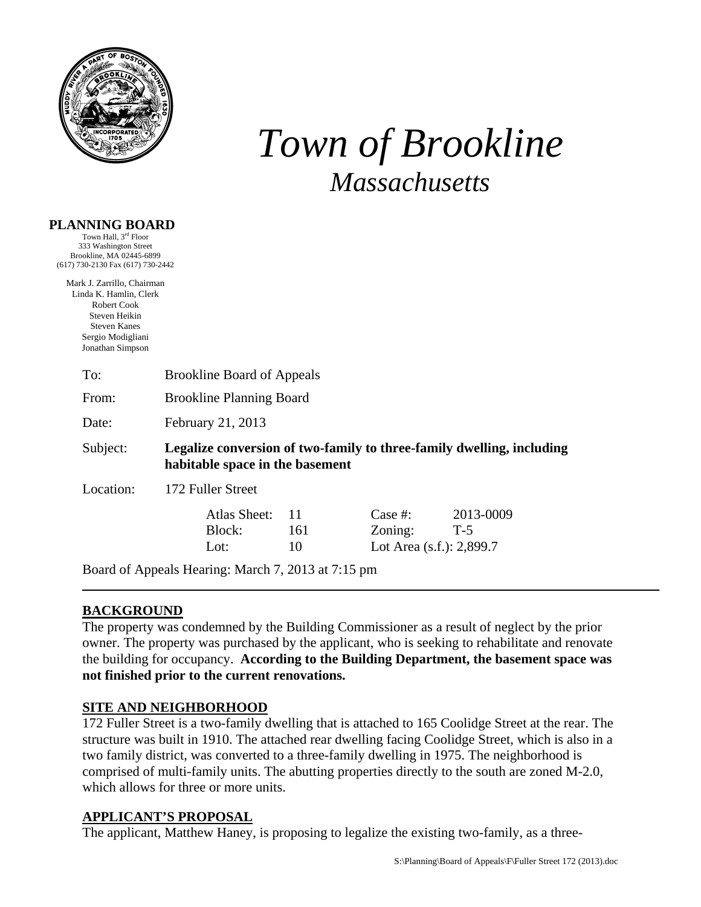

# *Town of Brookline Massachusetts*

## **PLANNING BOARD**

Town Hall, 3rd Floor 333 Washington Street Brookline, MA 02445-6899 (617) 730-2130 Fax (617) 730-2442

Mark J. Zarrillo, Chairman Linda K. Hamlin, Clerk Robert Cook Steven Heikin Steven Kanes Sergio Modigliani Jonathan Simpson

| <b>Brookline Planning Board</b> |                 |                                                                      |                                                                       |
|---------------------------------|-----------------|----------------------------------------------------------------------|-----------------------------------------------------------------------|
| February 21, 2013               |                 |                                                                      |                                                                       |
|                                 |                 |                                                                      |                                                                       |
| 172 Fuller Street               |                 |                                                                      |                                                                       |
| Atlas Sheet:<br>Block:<br>Lot:  | 11<br>161<br>10 | Case  #:<br>Zoning:<br>Lot Area (s.f.): 2,899.7                      | 2013-0009<br>$T-5$                                                    |
|                                 |                 | <b>Brookline Board of Appeals</b><br>habitable space in the basement | Legalize conversion of two-family to three-family dwelling, including |

Board of Appeals Hearing: March 7, 2013 at 7:15 pm

## **BACKGROUND**

The property was condemned by the Building Commissioner as a result of neglect by the prior owner. The property was purchased by the applicant, who is seeking to rehabilitate and renovate the building for occupancy. **According to the Building Department, the basement space was not finished prior to the current renovations.** 

## **SITE AND NEIGHBORHOOD**

172 Fuller Street is a two-family dwelling that is attached to 165 Coolidge Street at the rear. The structure was built in 1910. The attached rear dwelling facing Coolidge Street, which is also in a two family district, was converted to a three-family dwelling in 1975. The neighborhood is comprised of multi-family units. The abutting properties directly to the south are zoned M-2.0, which allows for three or more units.

## **APPLICANT'S PROPOSAL**

The applicant, Matthew Haney, is proposing to legalize the existing two-family, as a three-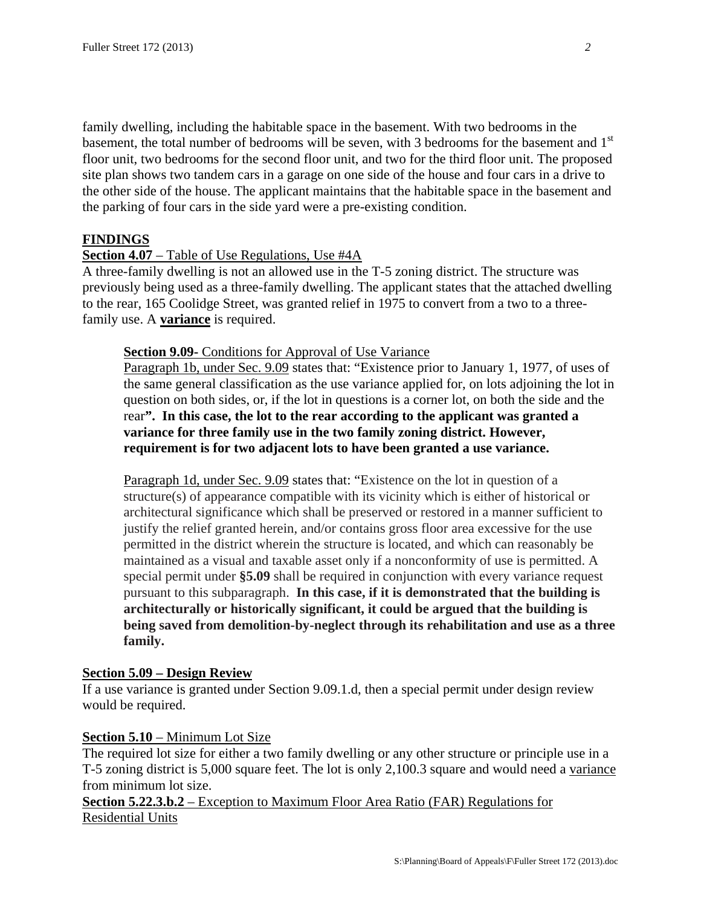family dwelling, including the habitable space in the basement. With two bedrooms in the basement, the total number of bedrooms will be seven, with 3 bedrooms for the basement and 1<sup>st</sup> floor unit, two bedrooms for the second floor unit, and two for the third floor unit. The proposed site plan shows two tandem cars in a garage on one side of the house and four cars in a drive to the other side of the house. The applicant maintains that the habitable space in the basement and the parking of four cars in the side yard were a pre-existing condition.

#### **FINDINGS**

#### **Section 4.07** – Table of Use Regulations, Use #4A

A three-family dwelling is not an allowed use in the T-5 zoning district. The structure was previously being used as a three-family dwelling. The applicant states that the attached dwelling to the rear, 165 Coolidge Street, was granted relief in 1975 to convert from a two to a threefamily use. A **variance** is required.

#### **Section 9.09-** Conditions for Approval of Use Variance

Paragraph 1b, under Sec. 9.09 states that: "Existence prior to January 1, 1977, of uses of the same general classification as the use variance applied for, on lots adjoining the lot in question on both sides, or, if the lot in questions is a corner lot, on both the side and the rear**". In this case, the lot to the rear according to the applicant was granted a variance for three family use in the two family zoning district. However, requirement is for two adjacent lots to have been granted a use variance.** 

Paragraph 1d, under Sec. 9.09 states that: "Existence on the lot in question of a structure(s) of appearance compatible with its vicinity which is either of historical or architectural significance which shall be preserved or restored in a manner sufficient to justify the relief granted herein, and/or contains gross floor area excessive for the use permitted in the district wherein the structure is located, and which can reasonably be maintained as a visual and taxable asset only if a nonconformity of use is permitted. A special permit under **§5.09** shall be required in conjunction with every variance request pursuant to this subparagraph. **In this case, if it is demonstrated that the building is architecturally or historically significant, it could be argued that the building is being saved from demolition-by-neglect through its rehabilitation and use as a three family.**

#### **Section 5.09 – Design Review**

If a use variance is granted under Section 9.09.1.d, then a special permit under design review would be required.

#### **Section 5.10** – Minimum Lot Size

The required lot size for either a two family dwelling or any other structure or principle use in a T-5 zoning district is 5,000 square feet. The lot is only 2,100.3 square and would need a variance from minimum lot size.

**Section 5.22.3.b.2** – Exception to Maximum Floor Area Ratio (FAR) Regulations for Residential Units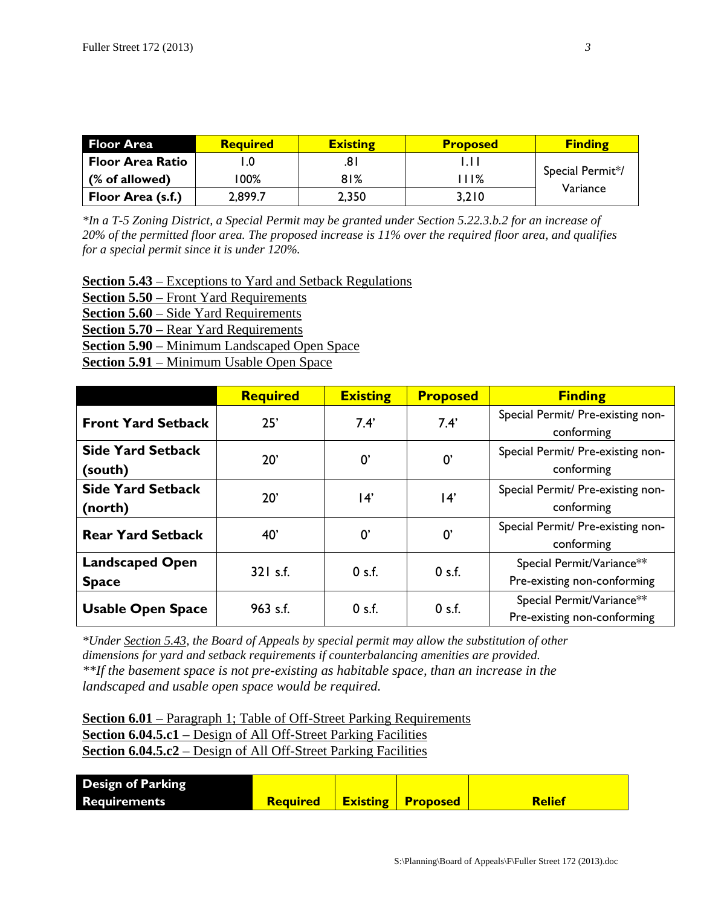| <b>Floor Area</b>        | <b>Required</b> | <b>Existing</b> | <b>Proposed</b> | <b>Finding</b>               |
|--------------------------|-----------------|-----------------|-----------------|------------------------------|
| <b>Floor Area Ratio</b>  |                 | .81             |                 |                              |
| (% of allowed)           | 00%             | 81%             | 11%             | Special Permit*/<br>Variance |
| <b>Floor Area (s.f.)</b> | 2,899.7         | 2,350           | 3,210           |                              |

*\*In a T-5 Zoning District, a Special Permit may be granted under Section 5.22.3.b.2 for an increase of 20% of the permitted floor area. The proposed increase is 11% over the required floor area, and qualifies for a special permit since it is under 120%.* 

**Section 5.43** – Exceptions to Yard and Setback Regulations **Section 5.50** – Front Yard Requirements **Section 5.60** – Side Yard Requirements **Section 5.70** – Rear Yard Requirements **Section 5.90** – Minimum Landscaped Open Space **Section 5.91** – Minimum Usable Open Space

|                          | <b>Required</b>                                                 | <b>Existing</b> | <b>Proposed</b>                   | <b>Finding</b>                    |
|--------------------------|-----------------------------------------------------------------|-----------------|-----------------------------------|-----------------------------------|
|                          | 25'<br>7.4'<br><b>Front Yard Setback</b><br>7.4'                |                 | Special Permit/ Pre-existing non- |                                   |
|                          |                                                                 |                 | conforming                        |                                   |
| <b>Side Yard Setback</b> | 20'                                                             |                 | $0^{\prime}$                      | Special Permit/ Pre-existing non- |
| (south)                  |                                                                 | $0^{\prime}$    |                                   | conforming                        |
| <b>Side Yard Setback</b> |                                                                 |                 | $ 4\rangle$                       | Special Permit/ Pre-existing non- |
| (north)                  | 20'                                                             | 14'             |                                   | conforming                        |
|                          | $0^{\prime}$<br>$0^{\prime}$<br><b>Rear Yard Setback</b><br>40' |                 |                                   | Special Permit/ Pre-existing non- |
|                          |                                                                 |                 | conforming                        |                                   |
| <b>Landscaped Open</b>   | $321$ s.f.                                                      | 0 s.f.          | 0 s.f.                            | Special Permit/Variance**         |
| <b>Space</b>             |                                                                 |                 |                                   | Pre-existing non-conforming       |
| <b>Usable Open Space</b> | 963 s.f.                                                        | 0 s.f.          | 0 s.f.                            | Special Permit/Variance**         |
|                          |                                                                 |                 |                                   | Pre-existing non-conforming       |

*\*Under Section 5.43, the Board of Appeals by special permit may allow the substitution of other dimensions for yard and setback requirements if counterbalancing amenities are provided. \*\*If the basement space is not pre-existing as habitable space, than an increase in the landscaped and usable open space would be required.* 

**Section 6.01** – Paragraph 1; Table of Off-Street Parking Requirements **Section 6.04.5.c1** – Design of All Off-Street Parking Facilities **Section 6.04.5.c2** – Design of All Off-Street Parking Facilities

| <b>Design of Parking</b> |                 |                 |                 |               |
|--------------------------|-----------------|-----------------|-----------------|---------------|
| <b>Requirements</b>      | <b>Required</b> | <b>Existing</b> | <b>Proposed</b> | <b>Relief</b> |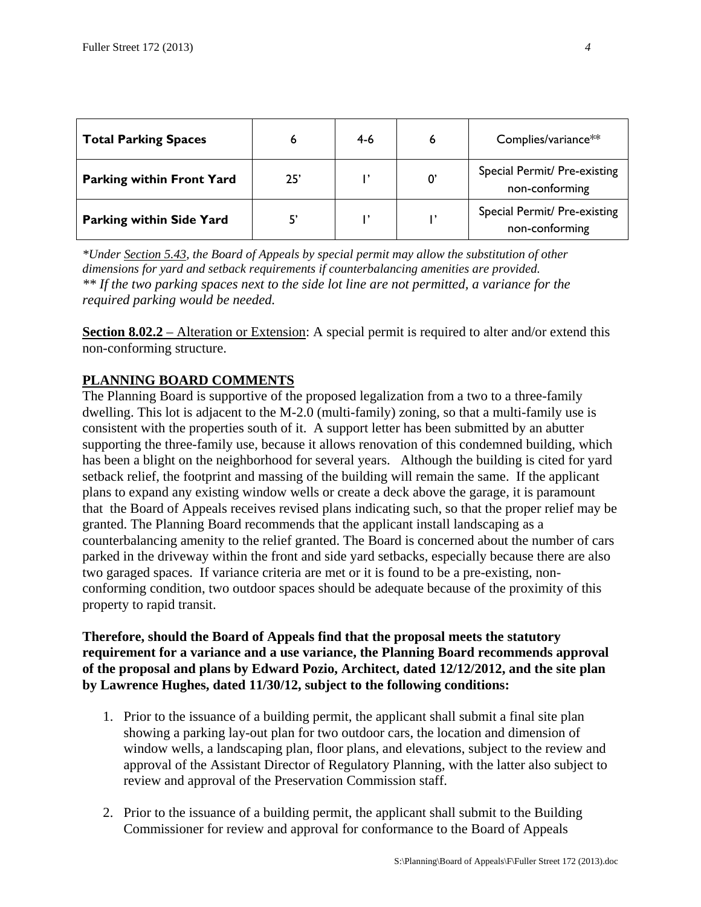| <b>Total Parking Spaces</b>      |     | $4-6$ |    | Complies/variance**                            |
|----------------------------------|-----|-------|----|------------------------------------------------|
| <b>Parking within Front Yard</b> | 25' |       | 0' | Special Permit/ Pre-existing<br>non-conforming |
| <b>Parking within Side Yard</b>  |     |       |    | Special Permit/ Pre-existing<br>non-conforming |

*\*Under Section 5.43, the Board of Appeals by special permit may allow the substitution of other dimensions for yard and setback requirements if counterbalancing amenities are provided. \*\* If the two parking spaces next to the side lot line are not permitted, a variance for the required parking would be needed.* 

**Section 8.02.2** – Alteration or Extension: A special permit is required to alter and/or extend this non-conforming structure.

## **PLANNING BOARD COMMENTS**

The Planning Board is supportive of the proposed legalization from a two to a three-family dwelling. This lot is adjacent to the M-2.0 (multi-family) zoning, so that a multi-family use is consistent with the properties south of it. A support letter has been submitted by an abutter supporting the three-family use, because it allows renovation of this condemned building, which has been a blight on the neighborhood for several years. Although the building is cited for yard setback relief, the footprint and massing of the building will remain the same. If the applicant plans to expand any existing window wells or create a deck above the garage, it is paramount that the Board of Appeals receives revised plans indicating such, so that the proper relief may be granted. The Planning Board recommends that the applicant install landscaping as a counterbalancing amenity to the relief granted. The Board is concerned about the number of cars parked in the driveway within the front and side yard setbacks, especially because there are also two garaged spaces. If variance criteria are met or it is found to be a pre-existing, nonconforming condition, two outdoor spaces should be adequate because of the proximity of this property to rapid transit.

## **Therefore, should the Board of Appeals find that the proposal meets the statutory requirement for a variance and a use variance, the Planning Board recommends approval of the proposal and plans by Edward Pozio, Architect, dated 12/12/2012, and the site plan by Lawrence Hughes, dated 11/30/12, subject to the following conditions:**

- 1. Prior to the issuance of a building permit, the applicant shall submit a final site plan showing a parking lay-out plan for two outdoor cars, the location and dimension of window wells, a landscaping plan, floor plans, and elevations, subject to the review and approval of the Assistant Director of Regulatory Planning, with the latter also subject to review and approval of the Preservation Commission staff.
- 2. Prior to the issuance of a building permit, the applicant shall submit to the Building Commissioner for review and approval for conformance to the Board of Appeals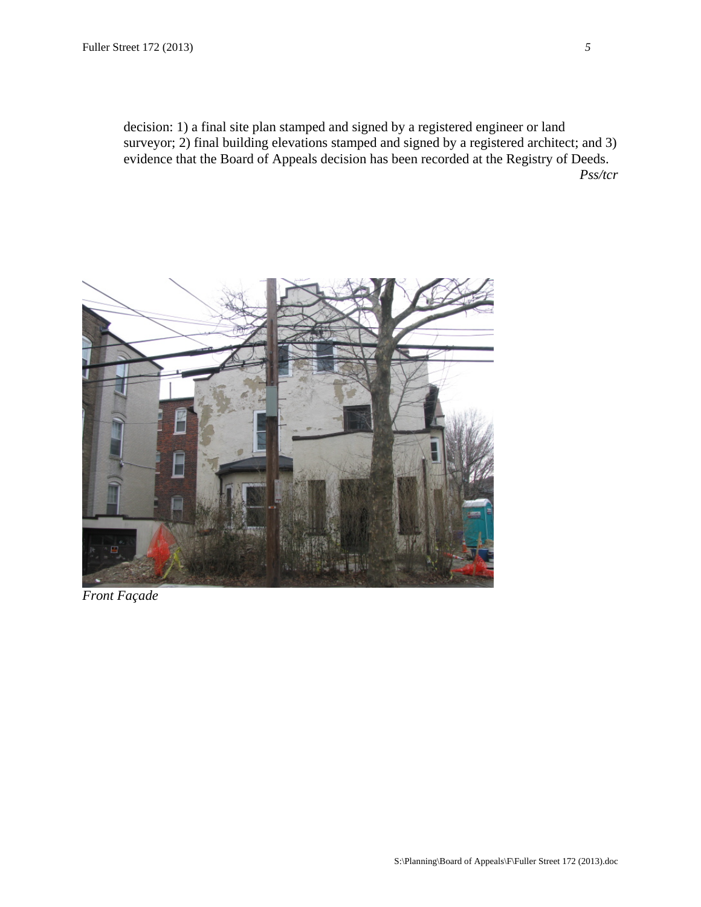decision: 1) a final site plan stamped and signed by a registered engineer or land surveyor; 2) final building elevations stamped and signed by a registered architect; and 3) evidence that the Board of Appeals decision has been recorded at the Registry of Deeds. *Pss/tcr* 



*Front Façade*